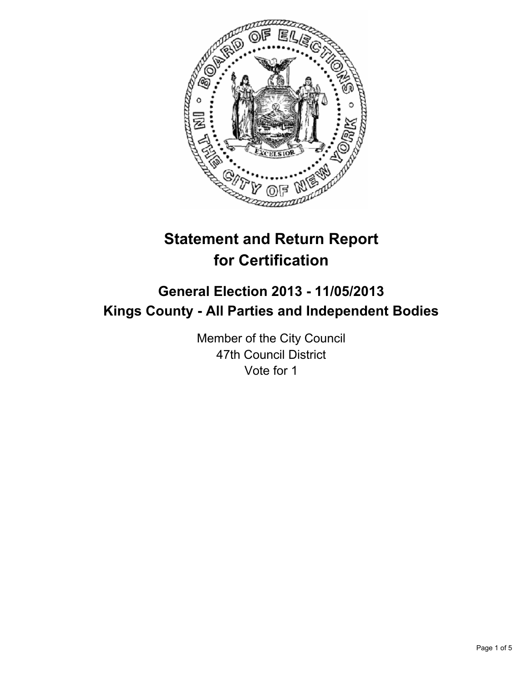

# **Statement and Return Report for Certification**

## **General Election 2013 - 11/05/2013 Kings County - All Parties and Independent Bodies**

Member of the City Council 47th Council District Vote for 1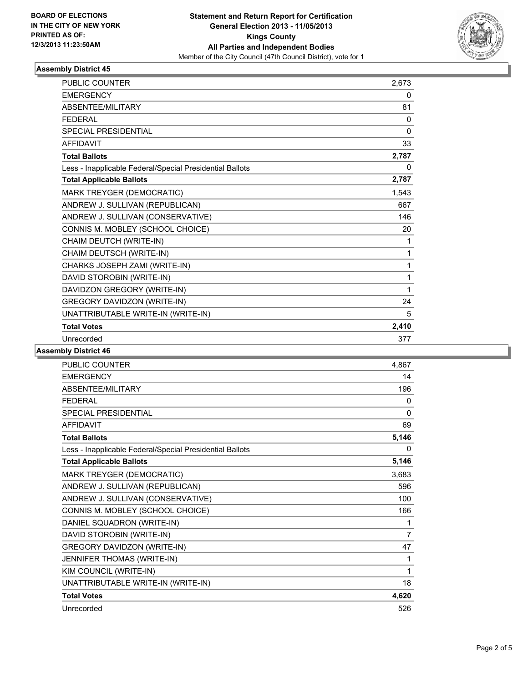

## **Assembly District 45**

| <b>PUBLIC COUNTER</b>                                    | 2,673    |
|----------------------------------------------------------|----------|
| <b>EMERGENCY</b>                                         | 0        |
| <b>ABSENTEE/MILITARY</b>                                 | 81       |
| <b>FEDERAL</b>                                           | 0        |
| <b>SPECIAL PRESIDENTIAL</b>                              | $\Omega$ |
| <b>AFFIDAVIT</b>                                         | 33       |
| <b>Total Ballots</b>                                     | 2,787    |
| Less - Inapplicable Federal/Special Presidential Ballots | 0        |
| <b>Total Applicable Ballots</b>                          | 2,787    |
| MARK TREYGER (DEMOCRATIC)                                | 1,543    |
| ANDREW J. SULLIVAN (REPUBLICAN)                          | 667      |
| ANDREW J. SULLIVAN (CONSERVATIVE)                        | 146      |
| CONNIS M. MOBLEY (SCHOOL CHOICE)                         | 20       |
| CHAIM DEUTCH (WRITE-IN)                                  | 1        |
| CHAIM DEUTSCH (WRITE-IN)                                 | 1        |
| CHARKS JOSEPH ZAMI (WRITE-IN)                            | 1        |
| DAVID STOROBIN (WRITE-IN)                                | 1        |
| DAVIDZON GREGORY (WRITE-IN)                              | 1        |
| GREGORY DAVIDZON (WRITE-IN)                              | 24       |
| UNATTRIBUTABLE WRITE-IN (WRITE-IN)                       | 5        |
| <b>Total Votes</b>                                       | 2,410    |
| Unrecorded                                               | 377      |

## **Assembly District 46**

| <b>PUBLIC COUNTER</b>                                    | 4,867        |
|----------------------------------------------------------|--------------|
| <b>EMERGENCY</b>                                         | 14           |
| ABSENTEE/MILITARY                                        | 196          |
| <b>FEDERAL</b>                                           | 0            |
| SPECIAL PRESIDENTIAL                                     | $\mathbf{0}$ |
| <b>AFFIDAVIT</b>                                         | 69           |
| <b>Total Ballots</b>                                     | 5,146        |
| Less - Inapplicable Federal/Special Presidential Ballots | 0            |
| <b>Total Applicable Ballots</b>                          | 5,146        |
| MARK TREYGER (DEMOCRATIC)                                | 3,683        |
| ANDREW J. SULLIVAN (REPUBLICAN)                          | 596          |
| ANDREW J. SULLIVAN (CONSERVATIVE)                        | 100          |
| CONNIS M. MOBLEY (SCHOOL CHOICE)                         | 166          |
| DANIEL SQUADRON (WRITE-IN)                               | 1            |
| DAVID STOROBIN (WRITE-IN)                                | 7            |
| GREGORY DAVIDZON (WRITE-IN)                              | 47           |
| JENNIFER THOMAS (WRITE-IN)                               | 1            |
| KIM COUNCIL (WRITE-IN)                                   | 1            |
| UNATTRIBUTABLE WRITE-IN (WRITE-IN)                       | 18           |
| <b>Total Votes</b>                                       | 4,620        |
| Unrecorded                                               | 526          |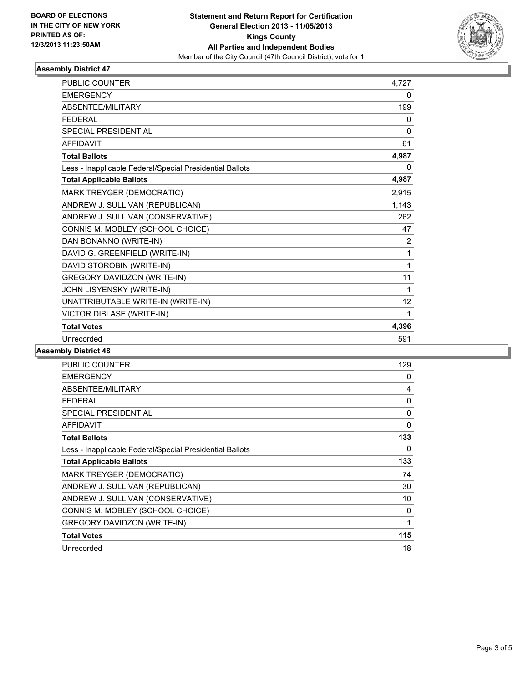

## **Assembly District 47**

| <b>PUBLIC COUNTER</b>                                    | 4,727    |
|----------------------------------------------------------|----------|
| <b>EMERGENCY</b>                                         | 0        |
| <b>ABSENTEE/MILITARY</b>                                 | 199      |
| <b>FFDFRAL</b>                                           | 0        |
| <b>SPECIAL PRESIDENTIAL</b>                              | $\Omega$ |
| <b>AFFIDAVIT</b>                                         | 61       |
| <b>Total Ballots</b>                                     | 4,987    |
| Less - Inapplicable Federal/Special Presidential Ballots | 0        |
| <b>Total Applicable Ballots</b>                          | 4,987    |
| MARK TREYGER (DEMOCRATIC)                                | 2,915    |
| ANDREW J. SULLIVAN (REPUBLICAN)                          | 1,143    |
| ANDREW J. SULLIVAN (CONSERVATIVE)                        | 262      |
| CONNIS M. MOBLEY (SCHOOL CHOICE)                         | 47       |
| DAN BONANNO (WRITE-IN)                                   | 2        |
| DAVID G. GREENFIELD (WRITE-IN)                           | 1        |
| DAVID STOROBIN (WRITE-IN)                                | 1        |
| <b>GREGORY DAVIDZON (WRITE-IN)</b>                       | 11       |
| JOHN LISYENSKY (WRITE-IN)                                | 1        |
| UNATTRIBUTABLE WRITE-IN (WRITE-IN)                       | 12       |
| VICTOR DIBLASE (WRITE-IN)                                | 1        |
| <b>Total Votes</b>                                       | 4,396    |
| Unrecorded                                               | 591      |

## **Assembly District 48**

| PUBLIC COUNTER                                           | 129            |
|----------------------------------------------------------|----------------|
| <b>EMERGENCY</b>                                         | 0              |
| ABSENTEE/MILITARY                                        | $\overline{4}$ |
| <b>FEDERAL</b>                                           | 0              |
| <b>SPECIAL PRESIDENTIAL</b>                              | 0              |
| <b>AFFIDAVIT</b>                                         | $\mathbf{0}$   |
| <b>Total Ballots</b>                                     | 133            |
| Less - Inapplicable Federal/Special Presidential Ballots | 0              |
| <b>Total Applicable Ballots</b>                          | 133            |
| <b>MARK TREYGER (DEMOCRATIC)</b>                         | 74             |
| ANDREW J. SULLIVAN (REPUBLICAN)                          | 30             |
| ANDREW J. SULLIVAN (CONSERVATIVE)                        | 10             |
| CONNIS M. MOBLEY (SCHOOL CHOICE)                         | 0              |
| <b>GREGORY DAVIDZON (WRITE-IN)</b>                       | 1              |
| <b>Total Votes</b>                                       | 115            |
| Unrecorded                                               | 18             |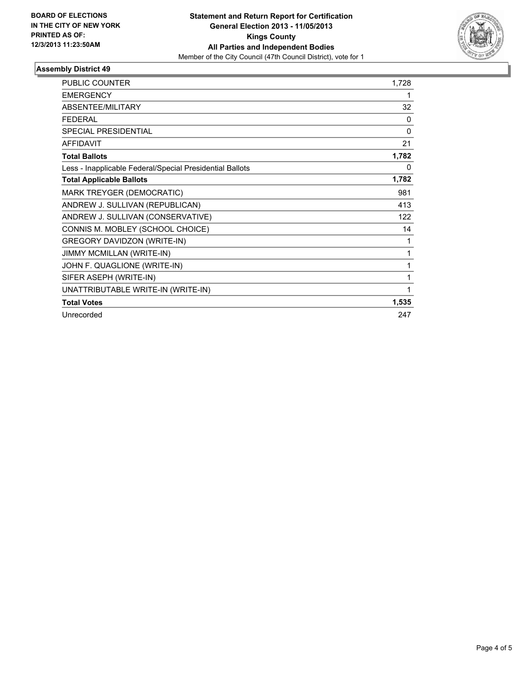

## **Assembly District 49**

| <b>PUBLIC COUNTER</b>                                    | 1,728    |
|----------------------------------------------------------|----------|
| <b>EMERGENCY</b>                                         | 1        |
| <b>ABSENTEE/MILITARY</b>                                 | 32       |
| <b>FFDFRAL</b>                                           | $\Omega$ |
| <b>SPECIAL PRESIDENTIAL</b>                              | $\Omega$ |
| <b>AFFIDAVIT</b>                                         | 21       |
| <b>Total Ballots</b>                                     | 1,782    |
| Less - Inapplicable Federal/Special Presidential Ballots | 0        |
| <b>Total Applicable Ballots</b>                          | 1,782    |
| MARK TREYGER (DEMOCRATIC)                                | 981      |
| ANDREW J. SULLIVAN (REPUBLICAN)                          | 413      |
| ANDREW J. SULLIVAN (CONSERVATIVE)                        | 122      |
| CONNIS M. MOBLEY (SCHOOL CHOICE)                         | 14       |
| <b>GREGORY DAVIDZON (WRITE-IN)</b>                       | 1        |
| JIMMY MCMILLAN (WRITE-IN)                                | 1        |
| JOHN F. QUAGLIONE (WRITE-IN)                             | 1        |
| SIFER ASEPH (WRITE-IN)                                   | 1        |
| UNATTRIBUTABLE WRITE-IN (WRITE-IN)                       | 1        |
| <b>Total Votes</b>                                       | 1,535    |
| Unrecorded                                               | 247      |